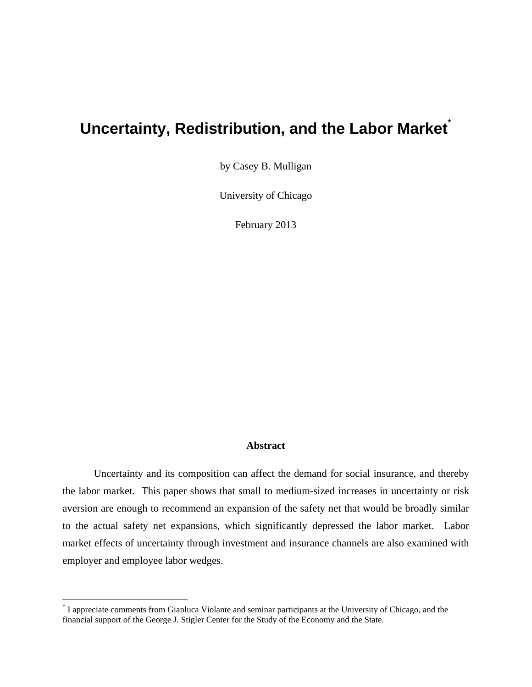#### **Uncertainty, Redistribution, and the Labor Market**

by Casey B. Mulligan

University of Chicago

February 2013

#### **Abstract**

 Uncertainty and its composition can affect the demand for social insurance, and thereby the labor market. This paper shows that small to medium-sized increases in uncertainty or risk aversion are enough to recommend an expansion of the safety net that would be broadly similar to the actual safety net expansions, which significantly depressed the labor market. Labor market effects of uncertainty through investment and insurance channels are also examined with employer and employee labor wedges.

<sup>\*</sup> I appreciate comments from Gianluca Violante and seminar participants at the University of Chicago, and the financial support of the George J. Stigler Center for the Study of the Economy and the State.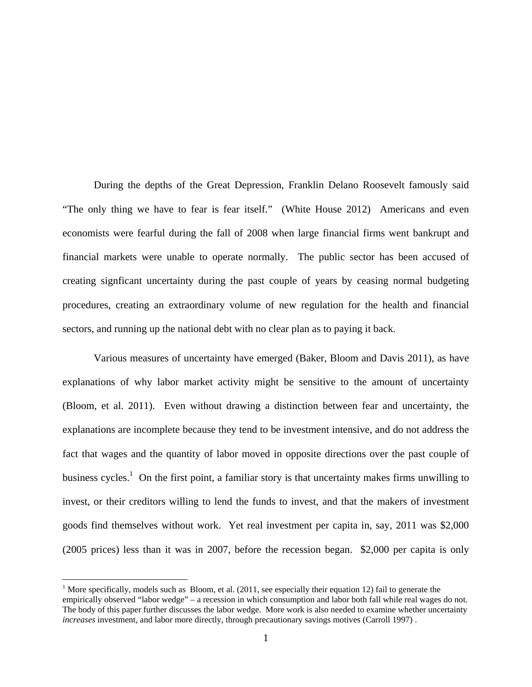During the depths of the Great Depression, Franklin Delano Roosevelt famously said "The only thing we have to fear is fear itself." (White House 2012) Americans and even economists were fearful during the fall of 2008 when large financial firms went bankrupt and financial markets were unable to operate normally. The public sector has been accused of creating signficant uncertainty during the past couple of years by ceasing normal budgeting procedures, creating an extraordinary volume of new regulation for the health and financial sectors, and running up the national debt with no clear plan as to paying it back.

 Various measures of uncertainty have emerged (Baker, Bloom and Davis 2011), as have explanations of why labor market activity might be sensitive to the amount of uncertainty (Bloom, et al. 2011). Even without drawing a distinction between fear and uncertainty, the explanations are incomplete because they tend to be investment intensive, and do not address the fact that wages and the quantity of labor moved in opposite directions over the past couple of business cycles.<sup>1</sup> On the first point, a familiar story is that uncertainty makes firms unwilling to invest, or their creditors willing to lend the funds to invest, and that the makers of investment goods find themselves without work. Yet real investment per capita in, say, 2011 was \$2,000 (2005 prices) less than it was in 2007, before the recession began. \$2,000 per capita is only

<sup>&</sup>lt;sup>1</sup> More specifically, models such as Bloom, et al.  $(2011)$ , see especially their equation 12) fail to generate the empirically observed "labor wedge" – a recession in which consumption and labor both fall while real wages do not. The body of this paper further discusses the labor wedge. More work is also needed to examine whether uncertainty *increases* investment, and labor more directly, through precautionary savings motives (Carroll 1997) .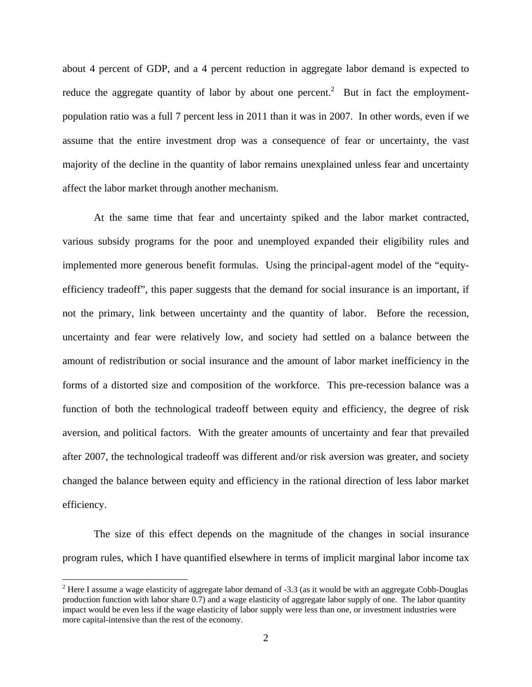about 4 percent of GDP, and a 4 percent reduction in aggregate labor demand is expected to reduce the aggregate quantity of labor by about one percent.<sup>2</sup> But in fact the employmentpopulation ratio was a full 7 percent less in 2011 than it was in 2007. In other words, even if we assume that the entire investment drop was a consequence of fear or uncertainty, the vast majority of the decline in the quantity of labor remains unexplained unless fear and uncertainty affect the labor market through another mechanism.

At the same time that fear and uncertainty spiked and the labor market contracted, various subsidy programs for the poor and unemployed expanded their eligibility rules and implemented more generous benefit formulas. Using the principal-agent model of the "equityefficiency tradeoff", this paper suggests that the demand for social insurance is an important, if not the primary, link between uncertainty and the quantity of labor. Before the recession, uncertainty and fear were relatively low, and society had settled on a balance between the amount of redistribution or social insurance and the amount of labor market inefficiency in the forms of a distorted size and composition of the workforce. This pre-recession balance was a function of both the technological tradeoff between equity and efficiency, the degree of risk aversion, and political factors. With the greater amounts of uncertainty and fear that prevailed after 2007, the technological tradeoff was different and/or risk aversion was greater, and society changed the balance between equity and efficiency in the rational direction of less labor market efficiency.

The size of this effect depends on the magnitude of the changes in social insurance program rules, which I have quantified elsewhere in terms of implicit marginal labor income tax

<sup>&</sup>lt;sup>2</sup> Here I assume a wage elasticity of aggregate labor demand of -3.3 (as it would be with an aggregate Cobb-Douglas production function with labor share 0.7) and a wage elasticity of aggregate labor supply of one. The labor quantity impact would be even less if the wage elasticity of labor supply were less than one, or investment industries were more capital-intensive than the rest of the economy.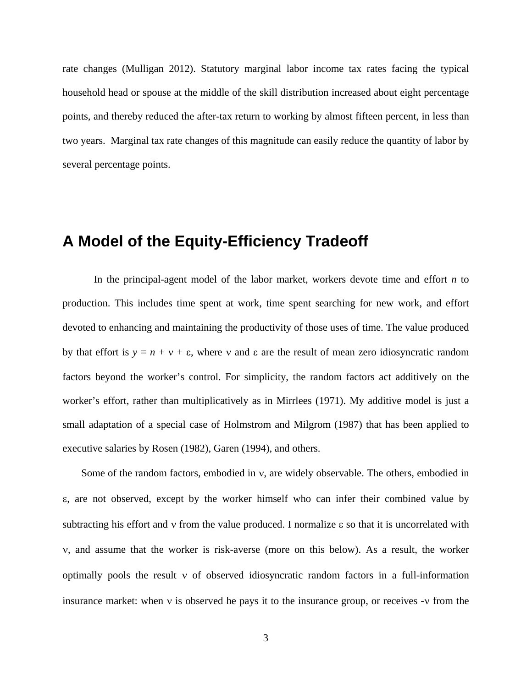rate changes (Mulligan 2012). Statutory marginal labor income tax rates facing the typical household head or spouse at the middle of the skill distribution increased about eight percentage points, and thereby reduced the after-tax return to working by almost fifteen percent, in less than two years. Marginal tax rate changes of this magnitude can easily reduce the quantity of labor by several percentage points.

#### **A Model of the Equity-Efficiency Tradeoff**

In the principal-agent model of the labor market, workers devote time and effort *n* to production. This includes time spent at work, time spent searching for new work, and effort devoted to enhancing and maintaining the productivity of those uses of time. The value produced by that effort is  $y = n + v + \varepsilon$ , where v and  $\varepsilon$  are the result of mean zero idiosyncratic random factors beyond the worker's control. For simplicity, the random factors act additively on the worker's effort, rather than multiplicatively as in Mirrlees (1971). My additive model is just a small adaptation of a special case of Holmstrom and Milgrom (1987) that has been applied to executive salaries by Rosen (1982), Garen (1994), and others.

Some of the random factors, embodied in  $v$ , are widely observable. The others, embodied in , are not observed, except by the worker himself who can infer their combined value by subtracting his effort and  $v$  from the value produced. I normalize  $\varepsilon$  so that it is uncorrelated with , and assume that the worker is risk-averse (more on this below). As a result, the worker optimally pools the result  $\nu$  of observed idiosyncratic random factors in a full-information insurance market: when  $\nu$  is observed he pays it to the insurance group, or receives  $\nu$  from the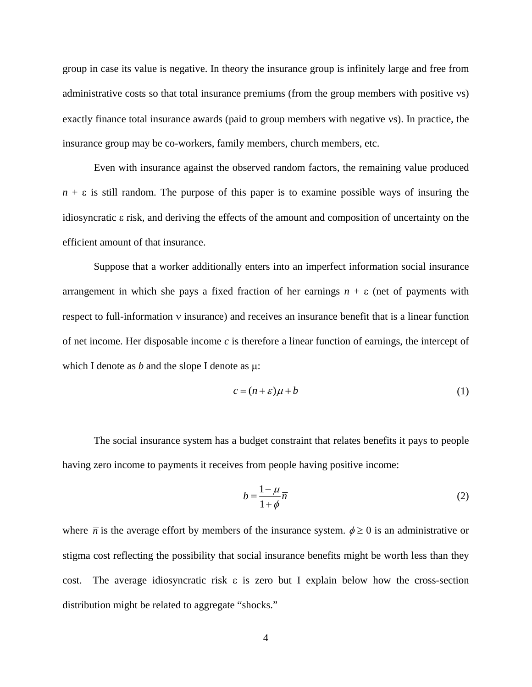group in case its value is negative. In theory the insurance group is infinitely large and free from administrative costs so that total insurance premiums (from the group members with positive vs) exactly finance total insurance awards (paid to group members with negative vs). In practice, the insurance group may be co-workers, family members, church members, etc.

Even with insurance against the observed random factors, the remaining value produced  $n + \varepsilon$  is still random. The purpose of this paper is to examine possible ways of insuring the idiosyncratic  $\epsilon$  risk, and deriving the effects of the amount and composition of uncertainty on the efficient amount of that insurance.

Suppose that a worker additionally enters into an imperfect information social insurance arrangement in which she pays a fixed fraction of her earnings  $n + \varepsilon$  (net of payments with respect to full-information  $\nu$  insurance) and receives an insurance benefit that is a linear function of net income. Her disposable income  $c$  is therefore a linear function of earnings, the intercept of which I denote as  $b$  and the slope I denote as  $\mu$ :

$$
c = (n + \varepsilon)\mu + b \tag{1}
$$

The social insurance system has a budget constraint that relates benefits it pays to people having zero income to payments it receives from people having positive income:

$$
b = \frac{1 - \mu}{1 + \phi} \overline{n} \tag{2}
$$

where  $\bar{n}$  is the average effort by members of the insurance system.  $\phi \ge 0$  is an administrative or stigma cost reflecting the possibility that social insurance benefits might be worth less than they cost. The average idiosyncratic risk  $\varepsilon$  is zero but I explain below how the cross-section distribution might be related to aggregate "shocks."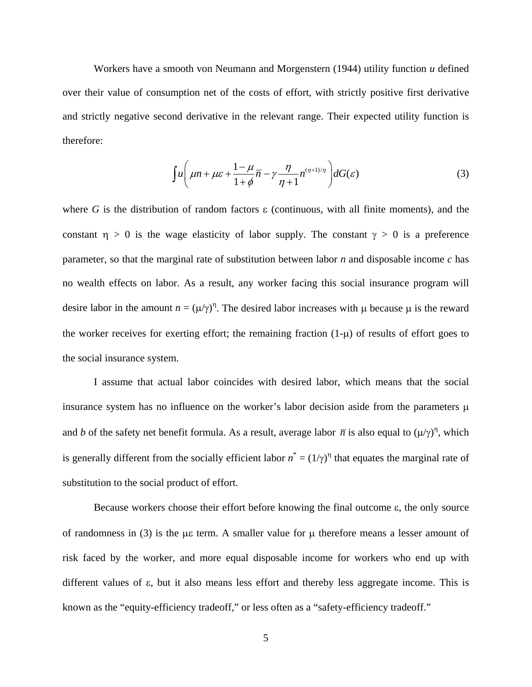Workers have a smooth von Neumann and Morgenstern (1944) utility function *u* defined over their value of consumption net of the costs of effort, with strictly positive first derivative and strictly negative second derivative in the relevant range. Their expected utility function is therefore:

$$
\int u \left( \mu n + \mu \varepsilon + \frac{1 - \mu}{1 + \phi} \overline{n} - \gamma \frac{\eta}{\eta + 1} n^{(\eta + 1)/\eta} \right) dG(\varepsilon) \tag{3}
$$

where  $G$  is the distribution of random factors  $\varepsilon$  (continuous, with all finite moments), and the constant  $\eta > 0$  is the wage elasticity of labor supply. The constant  $\gamma > 0$  is a preference parameter, so that the marginal rate of substitution between labor *n* and disposable income *c* has no wealth effects on labor. As a result, any worker facing this social insurance program will desire labor in the amount  $n = (\mu/\gamma)^n$ . The desired labor increases with  $\mu$  because  $\mu$  is the reward the worker receives for exerting effort; the remaining fraction  $(1-\mu)$  of results of effort goes to the social insurance system.

I assume that actual labor coincides with desired labor, which means that the social insurance system has no influence on the worker's labor decision aside from the parameters  $\mu$ and *b* of the safety net benefit formula. As a result, average labor  $\bar{n}$  is also equal to  $(\mu/\gamma)^{\eta}$ , which is generally different from the socially efficient labor  $n^* = (1/\gamma)^n$  that equates the marginal rate of substitution to the social product of effort.

Because workers choose their effort before knowing the final outcome  $\varepsilon$ , the only source of randomness in (3) is the  $\mu$  term. A smaller value for  $\mu$  therefore means a lesser amount of risk faced by the worker, and more equal disposable income for workers who end up with different values of  $\varepsilon$ , but it also means less effort and thereby less aggregate income. This is known as the "equity-efficiency tradeoff," or less often as a "safety-efficiency tradeoff."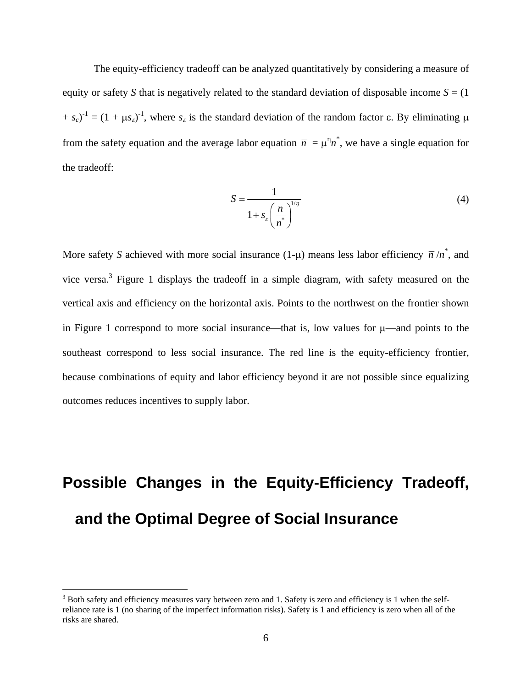The equity-efficiency tradeoff can be analyzed quantitatively by considering a measure of equity or safety *S* that is negatively related to the standard deviation of disposable income  $S = (1$  $(s_0 + s_c)^{-1} = (1 + \mu s_c)^{-1}$ , where  $s_c$  is the standard deviation of the random factor  $\varepsilon$ . By eliminating  $\mu$ from the safety equation and the average labor equation  $\bar{n} = \mu^n n^*$ , we have a single equation for the tradeoff:

$$
S = \frac{1}{1 + s_{\varepsilon} \left(\frac{\overline{n}}{n^*}\right)^{1/\eta}}
$$
(4)

More safety *S* achieved with more social insurance  $(1-\mu)$  means less labor efficiency  $\bar{n}/n^*$ , and vice versa.<sup>3</sup> Figure 1 displays the tradeoff in a simple diagram, with safety measured on the vertical axis and efficiency on the horizontal axis. Points to the northwest on the frontier shown in Figure 1 correspond to more social insurance—that is, low values for  $\mu$ —and points to the southeast correspond to less social insurance. The red line is the equity-efficiency frontier, because combinations of equity and labor efficiency beyond it are not possible since equalizing outcomes reduces incentives to supply labor.

# **Possible Changes in the Equity-Efficiency Tradeoff, and the Optimal Degree of Social Insurance**

 $3$  Both safety and efficiency measures vary between zero and 1. Safety is zero and efficiency is 1 when the selfreliance rate is 1 (no sharing of the imperfect information risks). Safety is 1 and efficiency is zero when all of the risks are shared.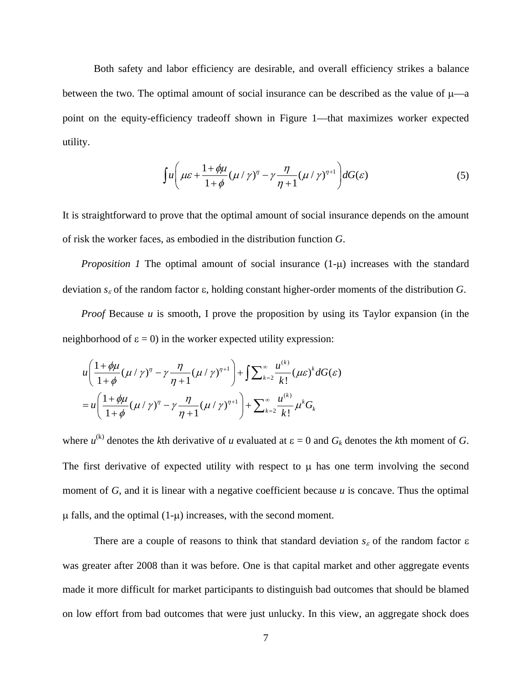Both safety and labor efficiency are desirable, and overall efficiency strikes a balance between the two. The optimal amount of social insurance can be described as the value of  $\mu$ —a point on the equity-efficiency tradeoff shown in Figure 1—that maximizes worker expected utility.

$$
\int u \left( \mu \varepsilon + \frac{1 + \phi \mu}{1 + \phi} (\mu / \gamma)^{\eta} - \gamma \frac{\eta}{\eta + 1} (\mu / \gamma)^{\eta + 1} \right) dG(\varepsilon) \tag{5}
$$

It is straightforward to prove that the optimal amount of social insurance depends on the amount of risk the worker faces, as embodied in the distribution function *G*.

*Proposition 1* The optimal amount of social insurance  $(1-\mu)$  increases with the standard deviation  $s_{\varepsilon}$  of the random factor  $\varepsilon$ , holding constant higher-order moments of the distribution *G*.

*Proof* Because *u* is smooth, I prove the proposition by using its Taylor expansion (in the neighborhood of  $\varepsilon = 0$ ) in the worker expected utility expression:

$$
u\left(\frac{1+\phi\mu}{1+\phi}(\mu/\gamma)^{\eta}-\gamma\frac{\eta}{\eta+1}(\mu/\gamma)^{\eta+1}\right)+\int\sum_{k=2}^{\infty}\frac{u^{(k)}}{k!}(\mu\varepsilon)^{k}dG(\varepsilon)
$$
  
= 
$$
u\left(\frac{1+\phi\mu}{1+\phi}(\mu/\gamma)^{\eta}-\gamma\frac{\eta}{\eta+1}(\mu/\gamma)^{\eta+1}\right)+\sum_{k=2}^{\infty}\frac{u^{(k)}}{k!}\mu^{k}G_{k}
$$

where  $u^{(k)}$  denotes the *k*th derivative of *u* evaluated at  $\varepsilon = 0$  and  $G_k$  denotes the *k*th moment of *G*. The first derivative of expected utility with respect to  $\mu$  has one term involving the second moment of *G*, and it is linear with a negative coefficient because *u* is concave. Thus the optimal  $\mu$  falls, and the optimal (1- $\mu$ ) increases, with the second moment.

There are a couple of reasons to think that standard deviation  $s_{\varepsilon}$  of the random factor  $\varepsilon$ was greater after 2008 than it was before. One is that capital market and other aggregate events made it more difficult for market participants to distinguish bad outcomes that should be blamed on low effort from bad outcomes that were just unlucky. In this view, an aggregate shock does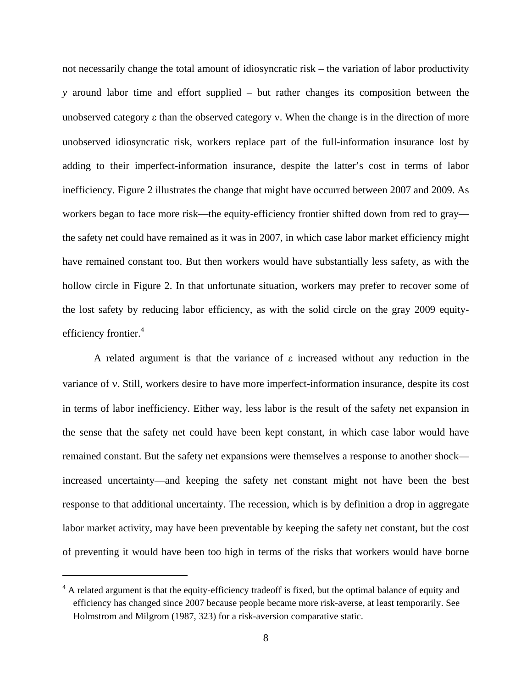not necessarily change the total amount of idiosyncratic risk – the variation of labor productivity *y* around labor time and effort supplied – but rather changes its composition between the unobserved category  $\varepsilon$  than the observed category  $v$ . When the change is in the direction of more unobserved idiosyncratic risk, workers replace part of the full-information insurance lost by adding to their imperfect-information insurance, despite the latter's cost in terms of labor inefficiency. Figure 2 illustrates the change that might have occurred between 2007 and 2009. As workers began to face more risk—the equity-efficiency frontier shifted down from red to gray the safety net could have remained as it was in 2007, in which case labor market efficiency might have remained constant too. But then workers would have substantially less safety, as with the hollow circle in Figure 2. In that unfortunate situation, workers may prefer to recover some of the lost safety by reducing labor efficiency, as with the solid circle on the gray 2009 equityefficiency frontier.<sup>4</sup>

A related argument is that the variance of  $\varepsilon$  increased without any reduction in the variance of v. Still, workers desire to have more imperfect-information insurance, despite its cost in terms of labor inefficiency. Either way, less labor is the result of the safety net expansion in the sense that the safety net could have been kept constant, in which case labor would have remained constant. But the safety net expansions were themselves a response to another shock increased uncertainty—and keeping the safety net constant might not have been the best response to that additional uncertainty. The recession, which is by definition a drop in aggregate labor market activity, may have been preventable by keeping the safety net constant, but the cost of preventing it would have been too high in terms of the risks that workers would have borne

<sup>&</sup>lt;sup>4</sup> A related argument is that the equity-efficiency tradeoff is fixed, but the optimal balance of equity and efficiency has changed since 2007 because people became more risk-averse, at least temporarily. See Holmstrom and Milgrom (1987, 323) for a risk-aversion comparative static.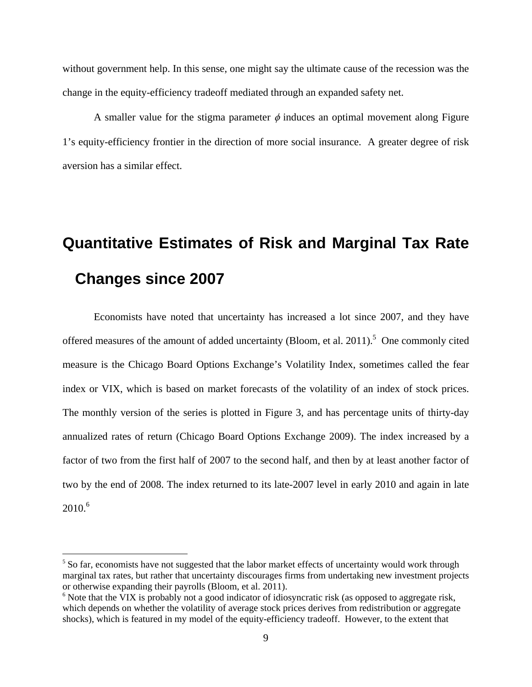without government help. In this sense, one might say the ultimate cause of the recession was the change in the equity-efficiency tradeoff mediated through an expanded safety net.

A smaller value for the stigma parameter  $\phi$  induces an optimal movement along Figure 1's equity-efficiency frontier in the direction of more social insurance. A greater degree of risk aversion has a similar effect.

### **Quantitative Estimates of Risk and Marginal Tax Rate Changes since 2007**

Economists have noted that uncertainty has increased a lot since 2007, and they have offered measures of the amount of added uncertainty (Bloom, et al.  $2011$ ).<sup>5</sup> One commonly cited measure is the Chicago Board Options Exchange's Volatility Index, sometimes called the fear index or VIX, which is based on market forecasts of the volatility of an index of stock prices. The monthly version of the series is plotted in Figure 3, and has percentage units of thirty-day annualized rates of return (Chicago Board Options Exchange 2009). The index increased by a factor of two from the first half of 2007 to the second half, and then by at least another factor of two by the end of 2008. The index returned to its late-2007 level in early 2010 and again in late  $2010^{6}$ 

1

<sup>&</sup>lt;sup>5</sup> So far, economists have not suggested that the labor market effects of uncertainty would work through marginal tax rates, but rather that uncertainty discourages firms from undertaking new investment projects or otherwise expanding their payrolls (Bloom, et al. 2011).

<sup>&</sup>lt;sup>6</sup> Note that the VIX is probably not a good indicator of idiosyncratic risk (as opposed to aggregate risk, which depends on whether the volatility of average stock prices derives from redistribution or aggregate shocks), which is featured in my model of the equity-efficiency tradeoff. However, to the extent that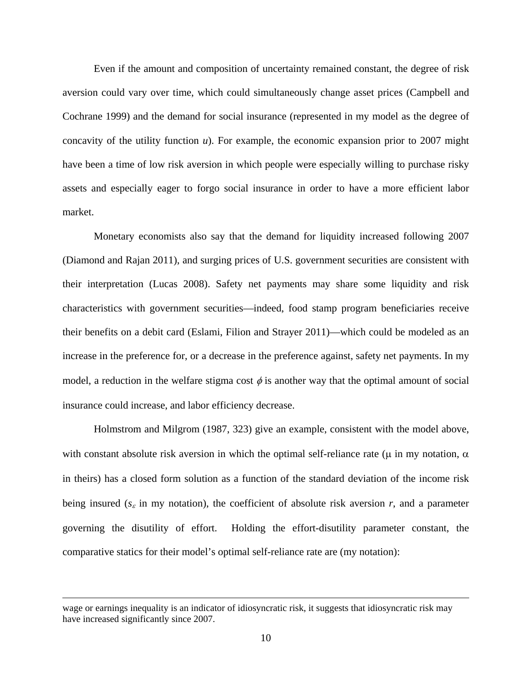Even if the amount and composition of uncertainty remained constant, the degree of risk aversion could vary over time, which could simultaneously change asset prices (Campbell and Cochrane 1999) and the demand for social insurance (represented in my model as the degree of concavity of the utility function *u*). For example, the economic expansion prior to 2007 might have been a time of low risk aversion in which people were especially willing to purchase risky assets and especially eager to forgo social insurance in order to have a more efficient labor market.

Monetary economists also say that the demand for liquidity increased following 2007 (Diamond and Rajan 2011), and surging prices of U.S. government securities are consistent with their interpretation (Lucas 2008). Safety net payments may share some liquidity and risk characteristics with government securities—indeed, food stamp program beneficiaries receive their benefits on a debit card (Eslami, Filion and Strayer 2011)—which could be modeled as an increase in the preference for, or a decrease in the preference against, safety net payments. In my model, a reduction in the welfare stigma cost  $\phi$  is another way that the optimal amount of social insurance could increase, and labor efficiency decrease.

Holmstrom and Milgrom (1987, 323) give an example, consistent with the model above, with constant absolute risk aversion in which the optimal self-reliance rate ( $\mu$  in my notation,  $\alpha$ in theirs) has a closed form solution as a function of the standard deviation of the income risk being insured ( $s_{\varepsilon}$  in my notation), the coefficient of absolute risk aversion *r*, and a parameter governing the disutility of effort. Holding the effort-disutility parameter constant, the comparative statics for their model's optimal self-reliance rate are (my notation):

1

wage or earnings inequality is an indicator of idiosyncratic risk, it suggests that idiosyncratic risk may have increased significantly since 2007.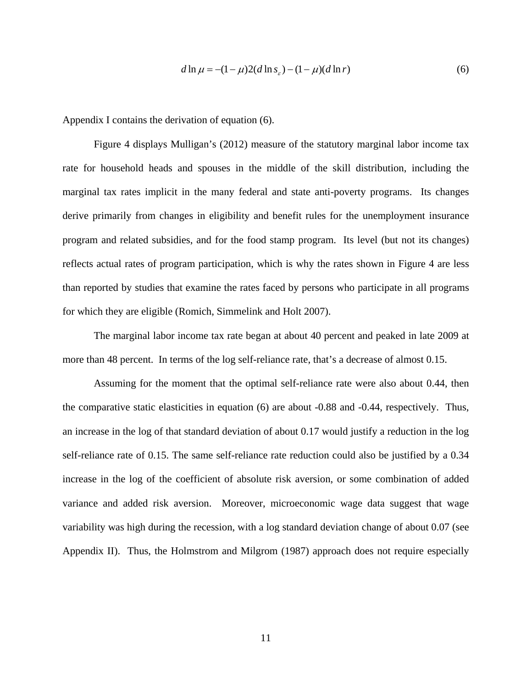$$
d \ln \mu = -(1 - \mu)2(d \ln s_{\varepsilon}) - (1 - \mu)(d \ln r) \tag{6}
$$

Appendix I contains the derivation of equation (6).

Figure 4 displays Mulligan's (2012) measure of the statutory marginal labor income tax rate for household heads and spouses in the middle of the skill distribution, including the marginal tax rates implicit in the many federal and state anti-poverty programs. Its changes derive primarily from changes in eligibility and benefit rules for the unemployment insurance program and related subsidies, and for the food stamp program. Its level (but not its changes) reflects actual rates of program participation, which is why the rates shown in Figure 4 are less than reported by studies that examine the rates faced by persons who participate in all programs for which they are eligible (Romich, Simmelink and Holt 2007).

The marginal labor income tax rate began at about 40 percent and peaked in late 2009 at more than 48 percent. In terms of the log self-reliance rate, that's a decrease of almost 0.15.

Assuming for the moment that the optimal self-reliance rate were also about 0.44, then the comparative static elasticities in equation (6) are about -0.88 and -0.44, respectively. Thus, an increase in the log of that standard deviation of about 0.17 would justify a reduction in the log self-reliance rate of 0.15. The same self-reliance rate reduction could also be justified by a 0.34 increase in the log of the coefficient of absolute risk aversion, or some combination of added variance and added risk aversion. Moreover, microeconomic wage data suggest that wage variability was high during the recession, with a log standard deviation change of about 0.07 (see Appendix II). Thus, the Holmstrom and Milgrom (1987) approach does not require especially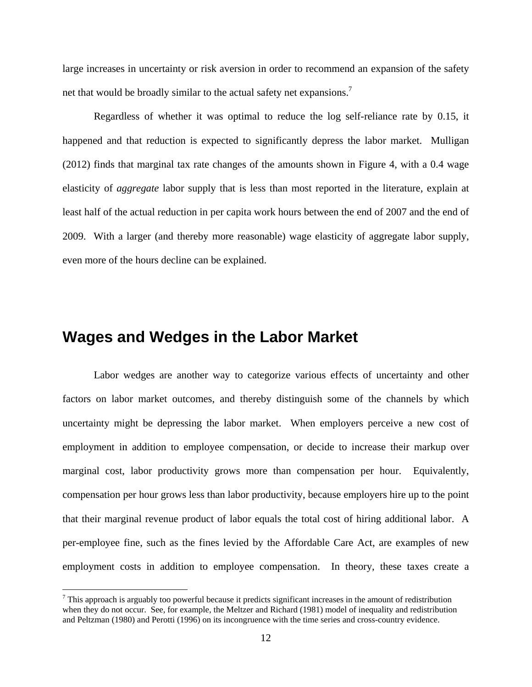large increases in uncertainty or risk aversion in order to recommend an expansion of the safety net that would be broadly similar to the actual safety net expansions.<sup>7</sup>

Regardless of whether it was optimal to reduce the log self-reliance rate by 0.15, it happened and that reduction is expected to significantly depress the labor market. Mulligan (2012) finds that marginal tax rate changes of the amounts shown in Figure 4, with a 0.4 wage elasticity of *aggregate* labor supply that is less than most reported in the literature, explain at least half of the actual reduction in per capita work hours between the end of 2007 and the end of 2009. With a larger (and thereby more reasonable) wage elasticity of aggregate labor supply, even more of the hours decline can be explained.

#### **Wages and Wedges in the Labor Market**

 $\overline{a}$ 

 Labor wedges are another way to categorize various effects of uncertainty and other factors on labor market outcomes, and thereby distinguish some of the channels by which uncertainty might be depressing the labor market. When employers perceive a new cost of employment in addition to employee compensation, or decide to increase their markup over marginal cost, labor productivity grows more than compensation per hour. Equivalently, compensation per hour grows less than labor productivity, because employers hire up to the point that their marginal revenue product of labor equals the total cost of hiring additional labor. A per-employee fine, such as the fines levied by the Affordable Care Act, are examples of new employment costs in addition to employee compensation. In theory, these taxes create a

 $<sup>7</sup>$  This approach is arguably too powerful because it predicts significant increases in the amount of redistribution</sup> when they do not occur. See, for example, the Meltzer and Richard (1981) model of inequality and redistribution and Peltzman (1980) and Perotti (1996) on its incongruence with the time series and cross-country evidence.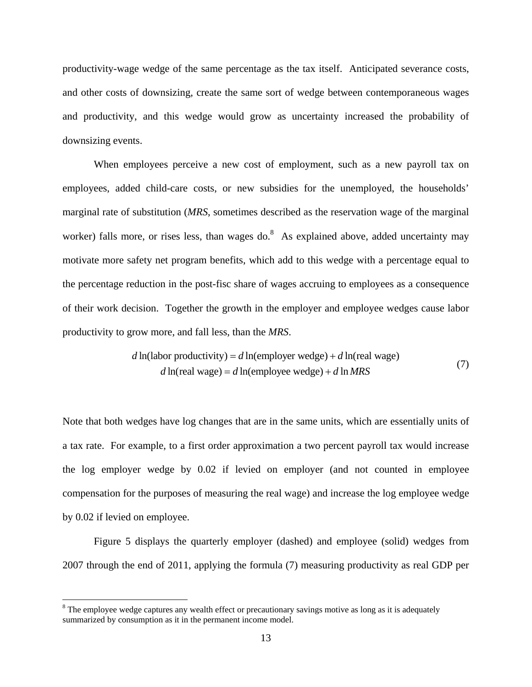productivity-wage wedge of the same percentage as the tax itself. Anticipated severance costs, and other costs of downsizing, create the same sort of wedge between contemporaneous wages and productivity, and this wedge would grow as uncertainty increased the probability of downsizing events.

 When employees perceive a new cost of employment, such as a new payroll tax on employees, added child-care costs, or new subsidies for the unemployed, the households' marginal rate of substitution (*MRS*, sometimes described as the reservation wage of the marginal worker) falls more, or rises less, than wages do.  $8\text{ A}s$  explained above, added uncertainty may motivate more safety net program benefits, which add to this wedge with a percentage equal to the percentage reduction in the post-fisc share of wages accruing to employees as a consequence of their work decision. Together the growth in the employer and employee wedges cause labor productivity to grow more, and fall less, than the *MRS*.

$$
d\ln(\text{labor productivity}) = d\ln(\text{employee wedge}) + d\ln(\text{real wage})
$$
  

$$
d\ln(\text{real wage}) = d\ln(\text{employee wedge}) + d\ln MRS
$$
 (7)

Note that both wedges have log changes that are in the same units, which are essentially units of a tax rate. For example, to a first order approximation a two percent payroll tax would increase the log employer wedge by 0.02 if levied on employer (and not counted in employee compensation for the purposes of measuring the real wage) and increase the log employee wedge by 0.02 if levied on employee.

 Figure 5 displays the quarterly employer (dashed) and employee (solid) wedges from 2007 through the end of 2011, applying the formula (7) measuring productivity as real GDP per

1

<sup>&</sup>lt;sup>8</sup> The employee wedge captures any wealth effect or precautionary savings motive as long as it is adequately summarized by consumption as it in the permanent income model.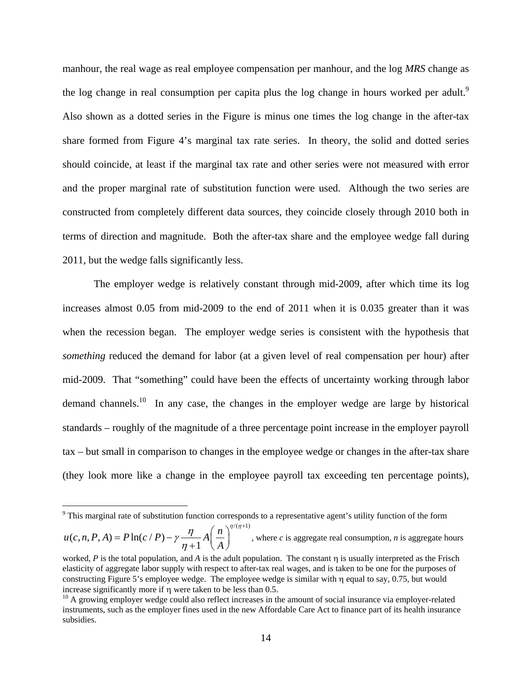manhour, the real wage as real employee compensation per manhour, and the log *MRS* change as the log change in real consumption per capita plus the log change in hours worked per adult.<sup>9</sup> Also shown as a dotted series in the Figure is minus one times the log change in the after-tax share formed from Figure 4's marginal tax rate series. In theory, the solid and dotted series should coincide, at least if the marginal tax rate and other series were not measured with error and the proper marginal rate of substitution function were used. Although the two series are constructed from completely different data sources, they coincide closely through 2010 both in terms of direction and magnitude. Both the after-tax share and the employee wedge fall during 2011, but the wedge falls significantly less.

The employer wedge is relatively constant through mid-2009, after which time its log increases almost 0.05 from mid-2009 to the end of 2011 when it is 0.035 greater than it was when the recession began. The employer wedge series is consistent with the hypothesis that *something* reduced the demand for labor (at a given level of real compensation per hour) after mid-2009. That "something" could have been the effects of uncertainty working through labor demand channels.<sup>10</sup> In any case, the changes in the employer wedge are large by historical standards – roughly of the magnitude of a three percentage point increase in the employer payroll tax – but small in comparison to changes in the employee wedge or changes in the after-tax share (they look more like a change in the employee payroll tax exceeding ten percentage points),

 $/(\eta+1)$  $u(c, n, P, A) = P \ln(c / P) - \gamma \frac{\eta}{\eta + 1} A \left( \frac{n}{A} \right)$ *A*  $\gamma \frac{\eta}{\eta} A \left( \frac{n}{\eta} \right)^{\eta/(\eta)}$  $\eta$  $= P \ln(c / P) - \gamma \frac{\eta}{\eta + 1} A \left(\frac{n}{A}\right)^{\eta/(\eta + 1)},$  where *c* is aggregate real consumption, *n* is aggregate hours

<sup>&</sup>lt;sup>9</sup> This marginal rate of substitution function corresponds to a representative agent's utility function of the form

worked,  $P$  is the total population, and  $A$  is the adult population. The constant  $\eta$  is usually interpreted as the Frisch elasticity of aggregate labor supply with respect to after-tax real wages, and is taken to be one for the purposes of constructing Figure 5's employee wedge. The employee wedge is similar with  $\eta$  equal to say, 0.75, but would increase significantly more if  $\eta$  were taken to be less than 0.5.<br><sup>10</sup> A growing employer wedge could also reflect increases in the amount of social insurance via employer-related

instruments, such as the employer fines used in the new Affordable Care Act to finance part of its health insurance subsidies.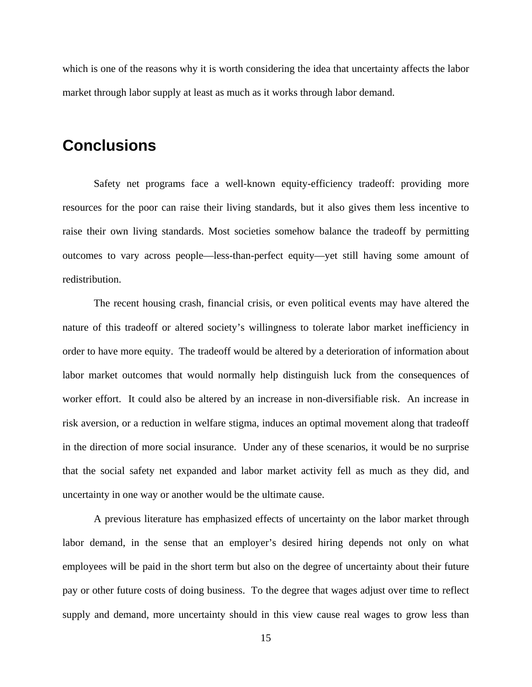which is one of the reasons why it is worth considering the idea that uncertainty affects the labor market through labor supply at least as much as it works through labor demand.

#### **Conclusions**

Safety net programs face a well-known equity-efficiency tradeoff: providing more resources for the poor can raise their living standards, but it also gives them less incentive to raise their own living standards. Most societies somehow balance the tradeoff by permitting outcomes to vary across people—less-than-perfect equity—yet still having some amount of redistribution.

The recent housing crash, financial crisis, or even political events may have altered the nature of this tradeoff or altered society's willingness to tolerate labor market inefficiency in order to have more equity. The tradeoff would be altered by a deterioration of information about labor market outcomes that would normally help distinguish luck from the consequences of worker effort. It could also be altered by an increase in non-diversifiable risk. An increase in risk aversion, or a reduction in welfare stigma, induces an optimal movement along that tradeoff in the direction of more social insurance. Under any of these scenarios, it would be no surprise that the social safety net expanded and labor market activity fell as much as they did, and uncertainty in one way or another would be the ultimate cause.

A previous literature has emphasized effects of uncertainty on the labor market through labor demand, in the sense that an employer's desired hiring depends not only on what employees will be paid in the short term but also on the degree of uncertainty about their future pay or other future costs of doing business. To the degree that wages adjust over time to reflect supply and demand, more uncertainty should in this view cause real wages to grow less than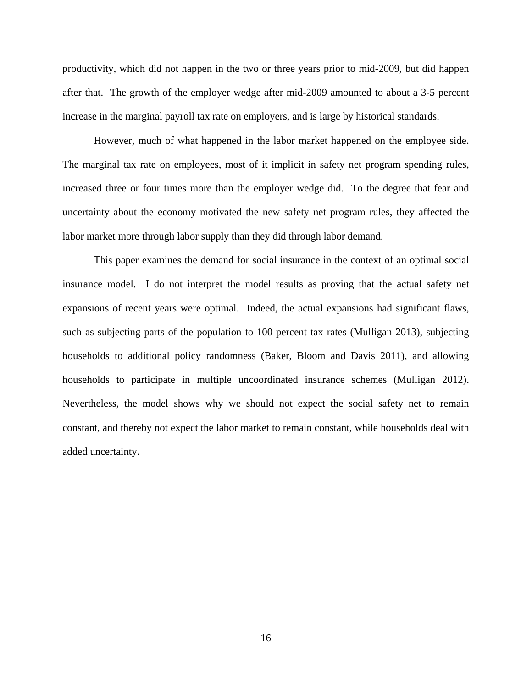productivity, which did not happen in the two or three years prior to mid-2009, but did happen after that. The growth of the employer wedge after mid-2009 amounted to about a 3-5 percent increase in the marginal payroll tax rate on employers, and is large by historical standards.

However, much of what happened in the labor market happened on the employee side. The marginal tax rate on employees, most of it implicit in safety net program spending rules, increased three or four times more than the employer wedge did. To the degree that fear and uncertainty about the economy motivated the new safety net program rules, they affected the labor market more through labor supply than they did through labor demand.

This paper examines the demand for social insurance in the context of an optimal social insurance model. I do not interpret the model results as proving that the actual safety net expansions of recent years were optimal. Indeed, the actual expansions had significant flaws, such as subjecting parts of the population to 100 percent tax rates (Mulligan 2013), subjecting households to additional policy randomness (Baker, Bloom and Davis 2011), and allowing households to participate in multiple uncoordinated insurance schemes (Mulligan 2012). Nevertheless, the model shows why we should not expect the social safety net to remain constant, and thereby not expect the labor market to remain constant, while households deal with added uncertainty.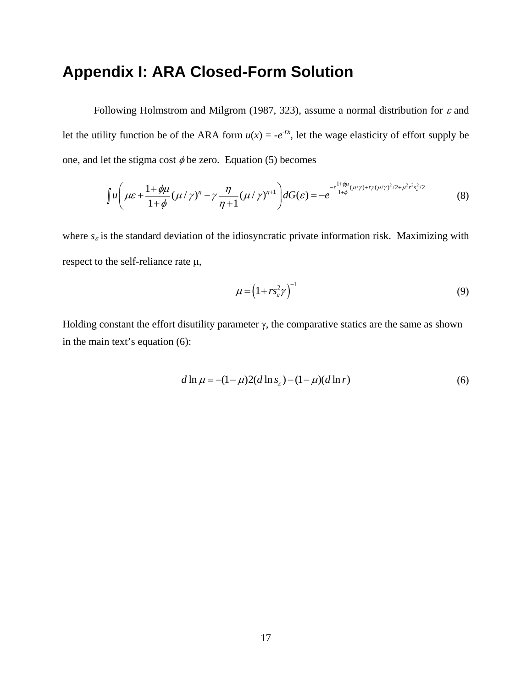#### **Appendix I: ARA Closed-Form Solution**

Following Holmstrom and Milgrom (1987, 323), assume a normal distribution for  $\varepsilon$  and let the utility function be of the ARA form  $u(x) = -e^{-rx}$ , let the wage elasticity of effort supply be one, and let the stigma cost  $\phi$  be zero. Equation (5) becomes

$$
\int u \left( \mu \varepsilon + \frac{1 + \phi \mu}{1 + \phi} (\mu / \gamma)^{\eta} - \gamma \frac{\eta}{\eta + 1} (\mu / \gamma)^{\eta + 1} \right) dG(\varepsilon) = -e^{-r \frac{1 + \phi \mu}{1 + \phi} (\mu / \gamma) + r \gamma (\mu / \gamma)^2 / 2 + \mu^2 r^2 s_{\varepsilon}^2 / 2}
$$
(8)

where  $s_{\varepsilon}$  is the standard deviation of the idiosyncratic private information risk. Maximizing with respect to the self-reliance rate  $\mu$ ,

$$
\mu = \left(1 + rs^2 \gamma\right)^{-1} \tag{9}
$$

Holding constant the effort disutility parameter  $\gamma$ , the comparative statics are the same as shown in the main text's equation (6):

$$
d \ln \mu = -(1 - \mu)2(d \ln s_{\varepsilon}) - (1 - \mu)(d \ln r) \tag{6}
$$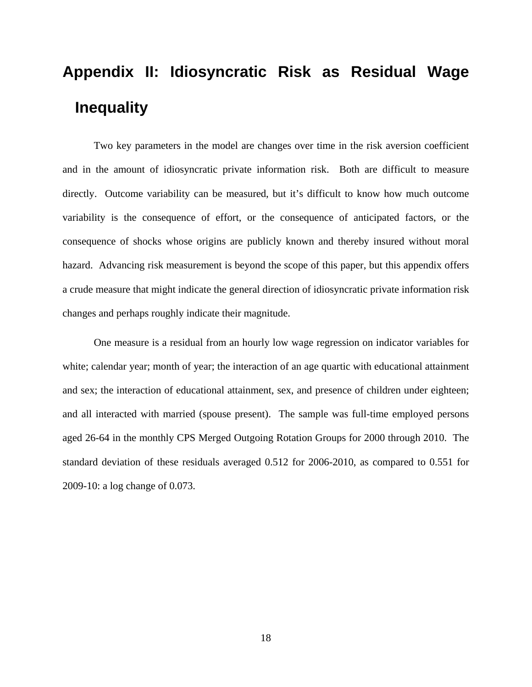# **Appendix II: Idiosyncratic Risk as Residual Wage Inequality**

Two key parameters in the model are changes over time in the risk aversion coefficient and in the amount of idiosyncratic private information risk. Both are difficult to measure directly. Outcome variability can be measured, but it's difficult to know how much outcome variability is the consequence of effort, or the consequence of anticipated factors, or the consequence of shocks whose origins are publicly known and thereby insured without moral hazard. Advancing risk measurement is beyond the scope of this paper, but this appendix offers a crude measure that might indicate the general direction of idiosyncratic private information risk changes and perhaps roughly indicate their magnitude.

One measure is a residual from an hourly low wage regression on indicator variables for white; calendar year; month of year; the interaction of an age quartic with educational attainment and sex; the interaction of educational attainment, sex, and presence of children under eighteen; and all interacted with married (spouse present). The sample was full-time employed persons aged 26-64 in the monthly CPS Merged Outgoing Rotation Groups for 2000 through 2010. The standard deviation of these residuals averaged 0.512 for 2006-2010, as compared to 0.551 for 2009-10: a log change of 0.073.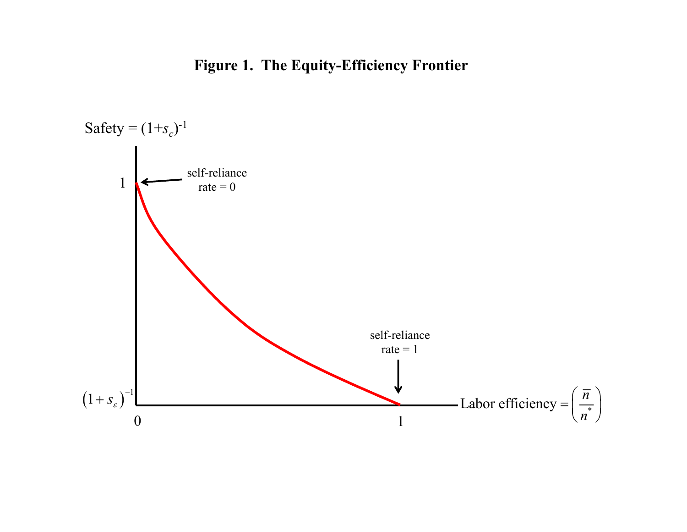### **Figure 1. The Equity-Efficiency Frontier**

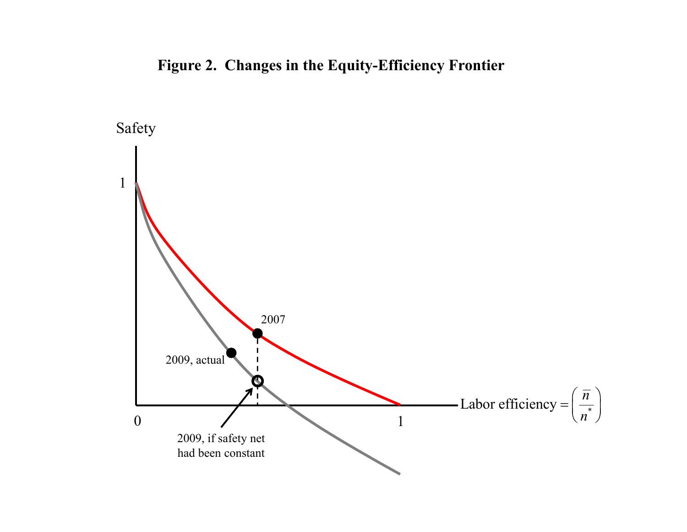### **Figure 2. Changes in the Equity-Efficiency Frontier**

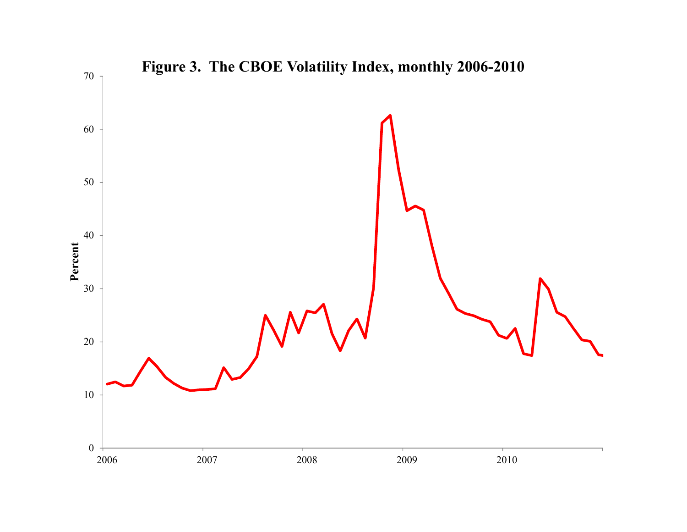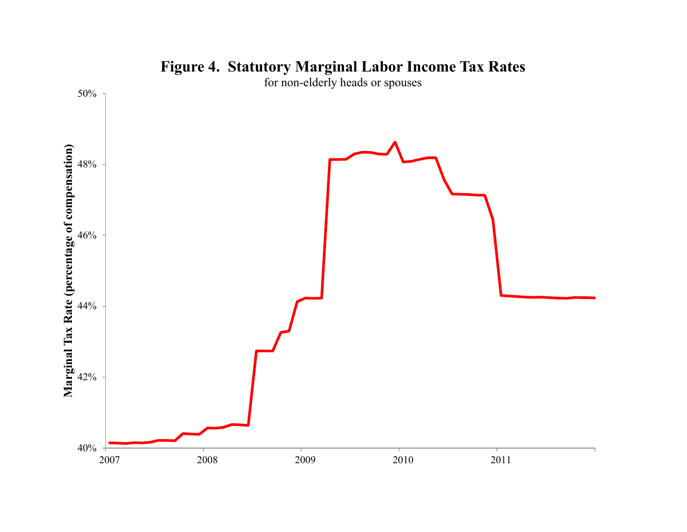

### **Figure 4. Statutory Marginal Labor Income Tax Rates**

for non-elderly heads or spouses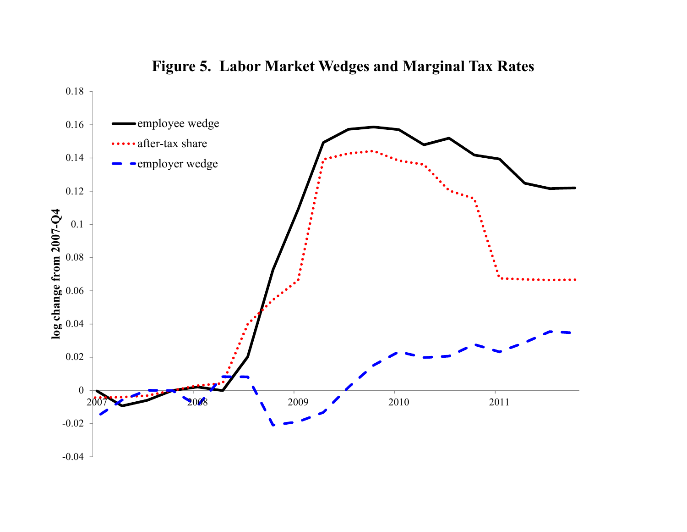

**Figure 5. Labor Market Wedges and Marginal Tax Rates**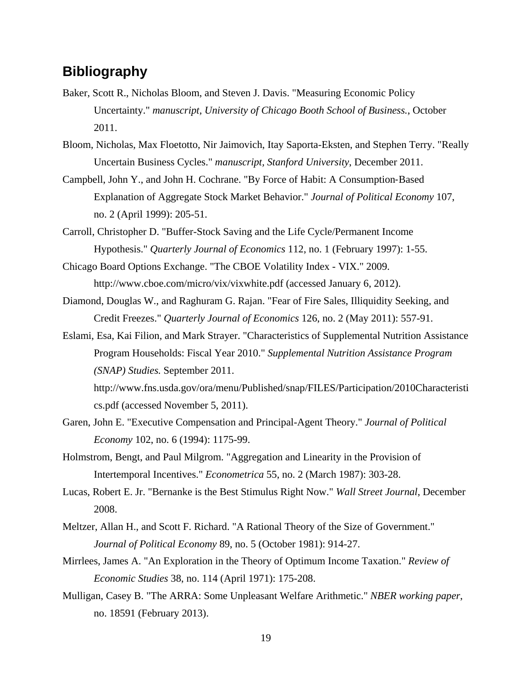#### **Bibliography**

- Baker, Scott R., Nicholas Bloom, and Steven J. Davis. "Measuring Economic Policy Uncertainty." *manuscript, University of Chicago Booth School of Business.*, October 2011.
- Bloom, Nicholas, Max Floetotto, Nir Jaimovich, Itay Saporta-Eksten, and Stephen Terry. "Really Uncertain Business Cycles." *manuscript, Stanford University*, December 2011.
- Campbell, John Y., and John H. Cochrane. "By Force of Habit: A Consumption‐Based Explanation of Aggregate Stock Market Behavior." *Journal of Political Economy* 107, no. 2 (April 1999): 205-51.
- Carroll, Christopher D. "Buffer-Stock Saving and the Life Cycle/Permanent Income Hypothesis." *Quarterly Journal of Economics* 112, no. 1 (February 1997): 1-55.
- Chicago Board Options Exchange. "The CBOE Volatility Index VIX." 2009. http://www.cboe.com/micro/vix/vixwhite.pdf (accessed January 6, 2012).
- Diamond, Douglas W., and Raghuram G. Rajan. "Fear of Fire Sales, Illiquidity Seeking, and Credit Freezes." *Quarterly Journal of Economics* 126, no. 2 (May 2011): 557-91.
- Eslami, Esa, Kai Filion, and Mark Strayer. "Characteristics of Supplemental Nutrition Assistance Program Households: Fiscal Year 2010." *Supplemental Nutrition Assistance Program (SNAP) Studies.* September 2011.

http://www.fns.usda.gov/ora/menu/Published/snap/FILES/Participation/2010Characteristi cs.pdf (accessed November 5, 2011).

- Garen, John E. "Executive Compensation and Principal-Agent Theory." *Journal of Political Economy* 102, no. 6 (1994): 1175-99.
- Holmstrom, Bengt, and Paul Milgrom. "Aggregation and Linearity in the Provision of Intertemporal Incentives." *Econometrica* 55, no. 2 (March 1987): 303-28.
- Lucas, Robert E. Jr. "Bernanke is the Best Stimulus Right Now." *Wall Street Journal*, December 2008.
- Meltzer, Allan H., and Scott F. Richard. "A Rational Theory of the Size of Government." *Journal of Political Economy* 89, no. 5 (October 1981): 914-27.
- Mirrlees, James A. "An Exploration in the Theory of Optimum Income Taxation." *Review of Economic Studies* 38, no. 114 (April 1971): 175-208.
- Mulligan, Casey B. "The ARRA: Some Unpleasant Welfare Arithmetic." *NBER working paper*, no. 18591 (February 2013).